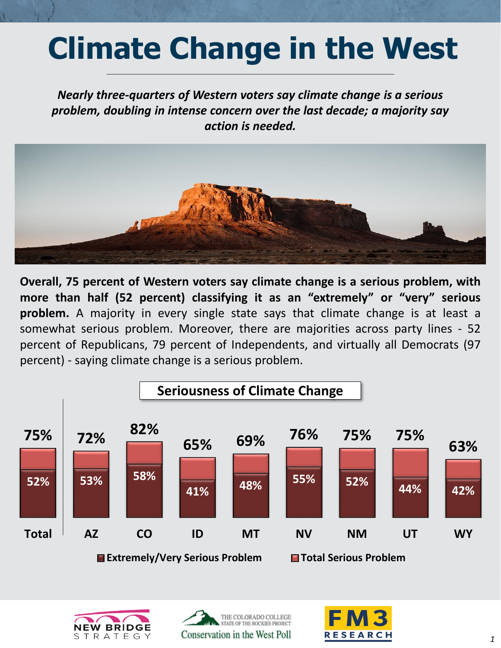## **Climate Change in the West**

*Nearly three-quarters of Western voters say climate change is a serious problem, doubling in intense concern over the last decade; a majority say action is needed.* 



**Overall, 75 percent of Western voters say climate change is a serious problem, with more than half (52 percent) classifying it as an "extremely" or "very" serious problem.** A majority in every single state says that climate change is at least a somewhat serious problem. Moreover, there are majorities across party lines - 52 percent of Republicans, 79 percent of Independents, and virtually all Democrats (97 percent) - saying climate change is a serious problem.







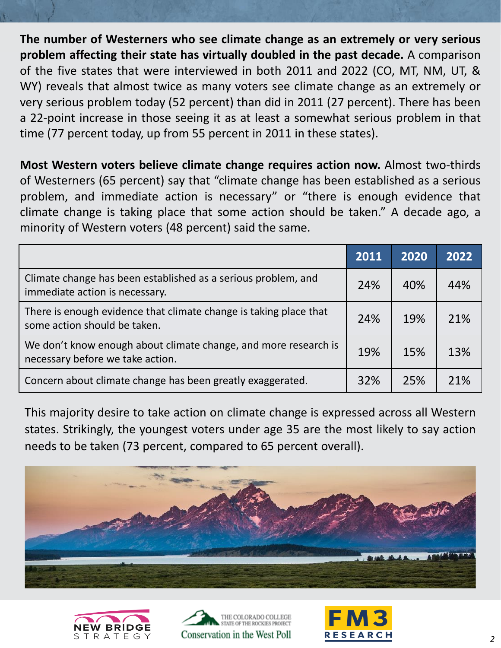**The number of Westerners who see climate change as an extremely or very serious problem affecting their state has virtually doubled in the past decade.** A comparison of the five states that were interviewed in both 2011 and 2022 (CO, MT, NM, UT, & WY) reveals that almost twice as many voters see climate change as an extremely or very serious problem today (52 percent) than did in 2011 (27 percent). There has been a 22-point increase in those seeing it as at least a somewhat serious problem in that time (77 percent today, up from 55 percent in 2011 in these states).

**Most Western voters believe climate change requires action now.** Almost two-thirds of Westerners (65 percent) say that "climate change has been established as a serious problem, and immediate action is necessary" or "there is enough evidence that climate change is taking place that some action should be taken." A decade ago, a minority of Western voters (48 percent) said the same.

|                                                                                                     | 2011 | 2020 | 2022 |
|-----------------------------------------------------------------------------------------------------|------|------|------|
| Climate change has been established as a serious problem, and<br>immediate action is necessary.     | 24%  | 40%  | 44%  |
| There is enough evidence that climate change is taking place that<br>some action should be taken.   | 24%  | 19%  | 21%  |
| We don't know enough about climate change, and more research is<br>necessary before we take action. | 19%  | 15%  | 13%  |
| Concern about climate change has been greatly exaggerated.                                          | 32%  | 25%  | 21%  |

This majority desire to take action on climate change is expressed across all Western states. Strikingly, the youngest voters under age 35 are the most likely to say action needs to be taken (73 percent, compared to 65 percent overall).







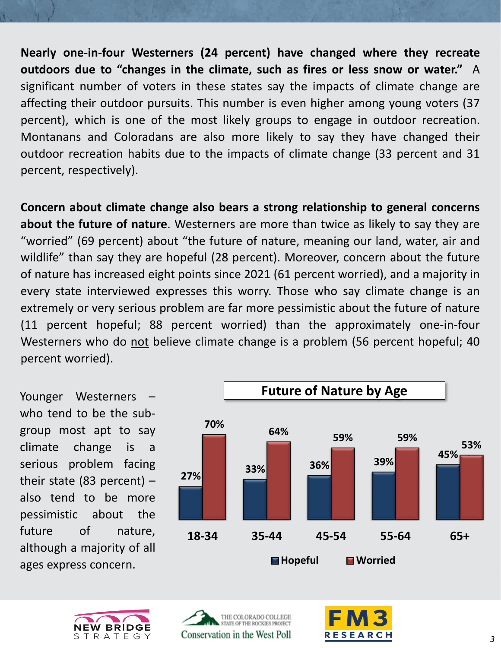**Nearly one-in-four Westerners (24 percent) have changed where they recreate outdoors due to "changes in the climate, such as fires or less snow or water."** A significant number of voters in these states say the impacts of climate change are affecting their outdoor pursuits. This number is even higher among young voters (37 percent), which is one of the most likely groups to engage in outdoor recreation. Montanans and Coloradans are also more likely to say they have changed their outdoor recreation habits due to the impacts of climate change (33 percent and 31 percent, respectively).

**Concern about climate change also bears a strong relationship to general concerns about the future of nature**. Westerners are more than twice as likely to say they are "worried" (69 percent) about "the future of nature, meaning our land, water, air and wildlife" than say they are hopeful (28 percent). Moreover, concern about the future of nature has increased eight points since 2021 (61 percent worried), and a majority in every state interviewed expresses this worry. Those who say climate change is an extremely or very serious problem are far more pessimistic about the future of nature (11 percent hopeful; 88 percent worried) than the approximately one-in-four Westerners who do not believe climate change is a problem (56 percent hopeful; 40 percent worried).

Younger Westerners – who tend to be the subgroup most apt to say climate change is a serious problem facing their state (83 percent) – also tend to be more pessimistic about the future of nature, although a majority of all ages express concern.